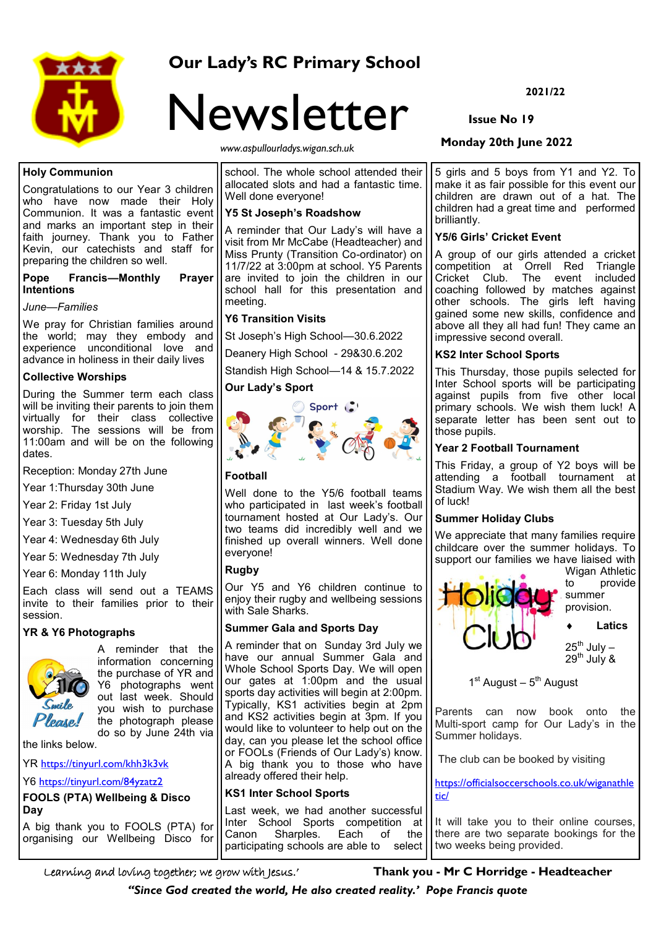

# **Our Lady's RC Primary School**



*www.aspullourladys.wigan.sch.uk*

# **Holy Communion**

Congratulations to our Year 3 children who have now made their Holy Communion. It was a fantastic event and marks an important step in their faith journey. Thank you to Father Kevin, our catechists and staff for preparing the children so well.

**Pope Francis—Monthly Prayer Intentions**

#### *June—Families*

We pray for Christian families around the world; may they embody and experience unconditional love and advance in holiness in their daily lives

# **Collective Worships**

During the Summer term each class will be inviting their parents to join them virtually for their class collective worship. The sessions will be from 11:00am and will be on the following dates.

Reception: Monday 27th June

Year 1:Thursday 30th June

Year 2: Friday 1st July

Year 3: Tuesday 5th July

Year 4: Wednesday 6th July

Year 5: Wednesday 7th July

Year 6: Monday 11th July

Each class will send out a TEAMS invite to their families prior to their session.

# **YR & Y6 Photographs**



A reminder that the information concerning the purchase of YR and Y6 photographs went out last week. Should you wish to purchase the photograph please do so by June 24th via

the links below.

YR <https://tinyurl.com/khh3k3vk>

Y6 <https://tinyurl.com/84yzatz2>

**FOOLS (PTA) Wellbeing & Disco Day**

A big thank you to FOOLS (PTA) for organising our Wellbeing Disco for school. The whole school attended their allocated slots and had a fantastic time. Well done everyone!

#### **Y5 St Joseph's Roadshow**

A reminder that Our Lady's will have a visit from Mr McCabe (Headteacher) and Miss Prunty (Transition Co-ordinator) on 11/7/22 at 3:00pm at school. Y5 Parents are invited to join the children in our school hall for this presentation and meeting.

# **Y6 Transition Visits**

St Joseph's High School—30.6.2022

Deanery High School - 29&30.6.202

Standish High School—14 & 15.7.2022

#### **Our Lady's Sport**



# **Football**

Well done to the Y5/6 football teams who participated in last week's football tournament hosted at Our Lady's. Our two teams did incredibly well and we finished up overall winners. Well done everyone!

# **Rugby**

Our Y5 and Y6 children continue to enjoy their rugby and wellbeing sessions with Sale Sharks.

# **Summer Gala and Sports Day**

A reminder that on Sunday 3rd July we have our annual Summer Gala and Whole School Sports Day. We will open our gates at 1:00pm and the usual sports day activities will begin at 2:00pm. Typically, KS1 activities begin at 2pm and KS2 activities begin at 3pm. If you would like to volunteer to help out on the day, can you please let the school office or FOOLs (Friends of Our Lady's) know. A big thank you to those who have already offered their help.

# **KS1 Inter School Sports**

Last week, we had another successful Inter School Sports competition at Canon Sharples. Each of the participating schools are able to select

**2021/22**

# **Issue No 19**

# **Monday 20th June 2022**

5 girls and 5 boys from Y1 and Y2. To make it as fair possible for this event our children are drawn out of a hat. The children had a great time and performed brilliantly.

#### **Y5/6 Girls' Cricket Event**

A group of our girls attended a cricket competition at Orrell Red Triangle Cricket Club. The event included coaching followed by matches against other schools. The girls left having gained some new skills, confidence and above all they all had fun! They came an impressive second overall.

#### **KS2 Inter School Sports**

This Thursday, those pupils selected for Inter School sports will be participating against pupils from five other local primary schools. We wish them luck! A separate letter has been sent out to those pupils.

#### **Year 2 Football Tournament**

This Friday, a group of Y2 boys will be attending a football tournament at Stadium Way. We wish them all the best of luck!

# **Summer Holiday Clubs**

We appreciate that many families require childcare over the summer holidays. To support our families we have liaised with



1<sup>st</sup> August – 5<sup>th</sup> August

Parents can now book onto the Multi-sport camp for Our Lady's in the Summer holidays.

The club can be booked by visiting

[https://officialsoccerschools.co.uk/wiganathle](https://officialsoccerschools.co.uk/wiganathletic/) [tic/](https://officialsoccerschools.co.uk/wiganathletic/)

It will take you to their online courses, there are two separate bookings for the two weeks being provided.

Learning and loving together; we grow with Jesus.' **Thank you - Mr C Horridge - Headteacher**

*''Since God created the world, He also created reality.' Pope Francis quote*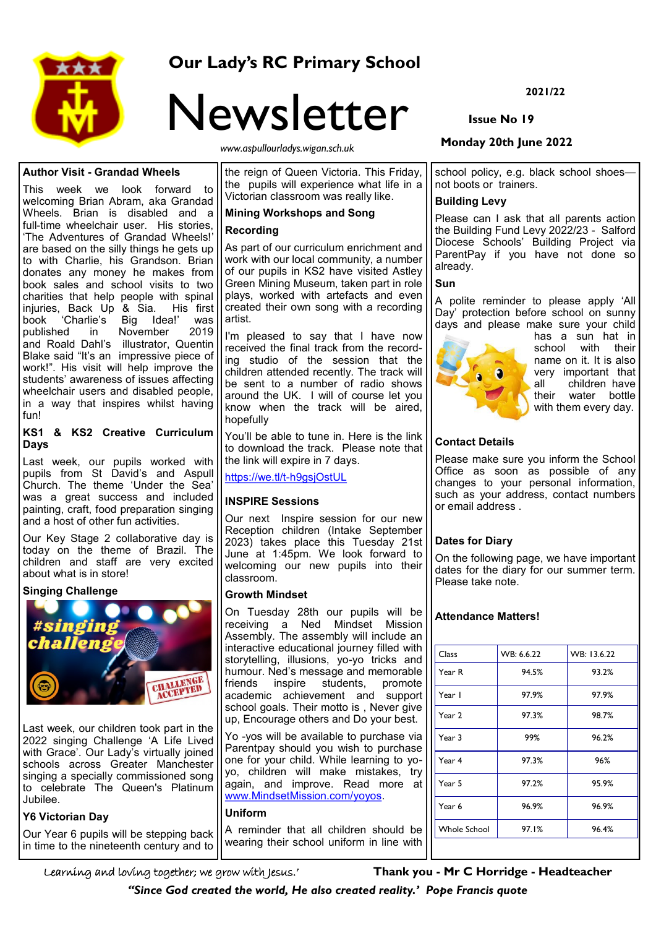

# **Our Lady's RC Primary School**

# Newsletter

*www.aspullourladys.wigan.sch.uk*

# **Author Visit - Grandad Wheels**

This week we look forward to welcoming Brian Abram, aka Grandad Wheels. Brian is disabled and a full-time wheelchair user. His stories, 'The Adventures of Grandad Wheels!' are based on the silly things he gets up to with Charlie, his Grandson. Brian donates any money he makes from book sales and school visits to two charities that help people with spinal injuries, Back Up & Sia. His first book 'Charlie's Big Idea!' was published in November 2019 and Roald Dahl's illustrator, Quentin Blake said "It's an impressive piece of work!". His visit will help improve the students' awareness of issues affecting wheelchair users and disabled people, in a way that inspires whilst having fun!

#### **KS1 & KS2 Creative Curriculum Days**

Last week, our pupils worked with pupils from St David's and Aspull Church. The theme 'Under the Sea' was a great success and included painting, craft, food preparation singing and a host of other fun activities.

Our Key Stage 2 collaborative day is today on the theme of Brazil. The children and staff are very excited about what is in store!

# **Singing Challenge**



Last week, our children took part in the 2022 singing Challenge 'A Life Lived with Grace'. Our Lady's virtually joined schools across Greater Manchester singing a specially commissioned song to celebrate The Queen's Platinum Jubilee.

# **Y6 Victorian Day**

Our Year 6 pupils will be stepping back in time to the nineteenth century and to

the reign of Queen Victoria. This Friday, the pupils will experience what life in a Victorian classroom was really like.

# **Mining Workshops and Song**

# **Recording**

As part of our curriculum enrichment and work with our local community, a number of our pupils in KS2 have visited Astley Green Mining Museum, taken part in role plays, worked with artefacts and even created their own song with a recording artist.

I'm pleased to say that I have now received the final track from the recording studio of the session that the children attended recently. The track will be sent to a number of radio shows around the UK. I will of course let you know when the track will be aired, hopefully

You'll be able to tune in. Here is the link to download the track. Please note that the link will expire in 7 days.

[https://we.tl/t](https://we.tl/t-h9gsjOstUL)-h9gsjOstUL

# **INSPIRE Sessions**

Our next Inspire session for our new Reception children (Intake September 2023) takes place this Tuesday 21st June at 1:45pm. We look forward to welcoming our new pupils into their classroom.

# **Growth Mindset**

On Tuesday 28th our pupils will be receiving a Ned Mindset Mission Assembly. The assembly will include an interactive educational journey filled with storytelling, illusions, yo-yo tricks and humour. Ned's message and memorable friends inspire students, promote academic achievement and support school goals. Their motto is . Never give up, Encourage others and Do your best.

Yo -yos will be available to purchase via Parentpay should you wish to purchase one for your child. While learning to yoyo, children will make mistakes, try again, and improve. Read more at [www.MindsetMission.com/yoyos.](http://www.MindsetMission.com/yoyos)

# **Uniform**

A reminder that all children should be wearing their school uniform in line with

**2021/22**

# **Issue No 19**

# **Monday 20th June 2022**

school policy, e.g. black school shoesnot boots or trainers.

# **Building Levy**

Please can I ask that all parents action the Building Fund Levy 2022/23 - Salford Diocese Schools' Building Project via ParentPay if you have not done so already.

# **Sun**

A polite reminder to please apply 'All Day' protection before school on sunny days and please make sure your child



has a sun hat in school with their name on it. It is also very important that all children have all shill be marked their water bottle with them every day.

# **Contact Details**

Please make sure you inform the School Office as soon as possible of any changes to your personal information, such as your address, contact numbers or email address .

# **Dates for Diary**

On the following page, we have important dates for the diary for our summer term. Please take note.

# **Attendance Matters!**

| Class               | WB: 6.6.22 | WB: 13.6.22 |
|---------------------|------------|-------------|
| Year R              | 94.5%      | 93.2%       |
| Year I              | 97.9%      | 97.9%       |
| Year 2              | 97.3%      | 98.7%       |
| Year 3              | 99%        | 96.2%       |
| Year 4              | 97.3%      | 96%         |
| Year 5              | 97.2%      | 95.9%       |
| Year 6              | 96.9%      | 96.9%       |
| <b>Whole School</b> | 97.I%      | 96.4%       |

*''Since God created the world, He also created reality.' Pope Francis quote*